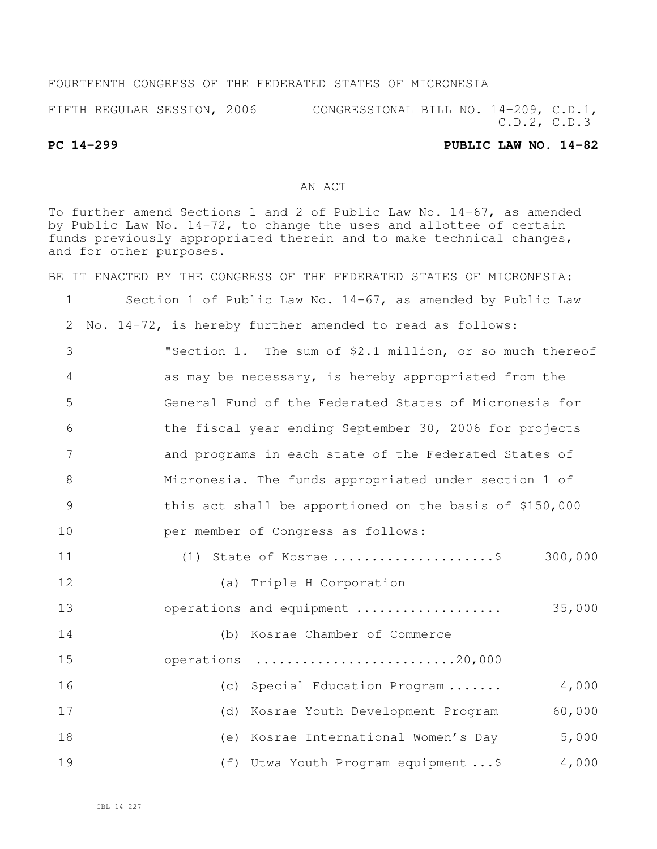## FOURTEENTH CONGRESS OF THE FEDERATED STATES OF MICRONESIA

FIFTH REGULAR SESSION, 2006 CONGRESSIONAL BILL NO. 14-209, C.D.1, C.D.2, C.D.3

## **PC 14-299 PUBLIC LAW NO. 14-82**

## AN ACT

To further amend Sections 1 and 2 of Public Law No. 14-67, as amended by Public Law No. 14-72, to change the uses and allottee of certain funds previously appropriated therein and to make technical changes, and for other purposes.

|                | BE IT ENACTED BY THE CONGRESS OF THE FEDERATED STATES OF MICRONESIA: |
|----------------|----------------------------------------------------------------------|
| $\mathbf 1$    | Section 1 of Public Law No. 14-67, as amended by Public Law          |
| 2              | No. $14-72$ , is hereby further amended to read as follows:          |
| 3              | "Section 1. The sum of \$2.1 million, or so much thereof             |
| 4              | as may be necessary, is hereby appropriated from the                 |
| 5              | General Fund of the Federated States of Micronesia for               |
| 6              | the fiscal year ending September 30, 2006 for projects               |
| $\overline{7}$ | and programs in each state of the Federated States of                |
| 8              | Micronesia. The funds appropriated under section 1 of                |
| 9              | this act shall be apportioned on the basis of \$150,000              |
| 10             | per member of Congress as follows:                                   |
| 11             | (1) State of Kosrae \$<br>300,000                                    |
| 12             | (a) Triple H Corporation                                             |
| 13             | 35,000<br>operations and equipment                                   |
| 14             | (b) Kosrae Chamber of Commerce                                       |
| 15             | operations 20,000                                                    |
| 16             | 4,000<br>(c) Special Education Program                               |
| 17             | 60,000<br>Kosrae Youth Development Program<br>(d)                    |
| 18             | 5,000<br>(e) Kosrae International Women's Day                        |
| 19             | 4,000<br>(f) Utwa Youth Program equipment  \$                        |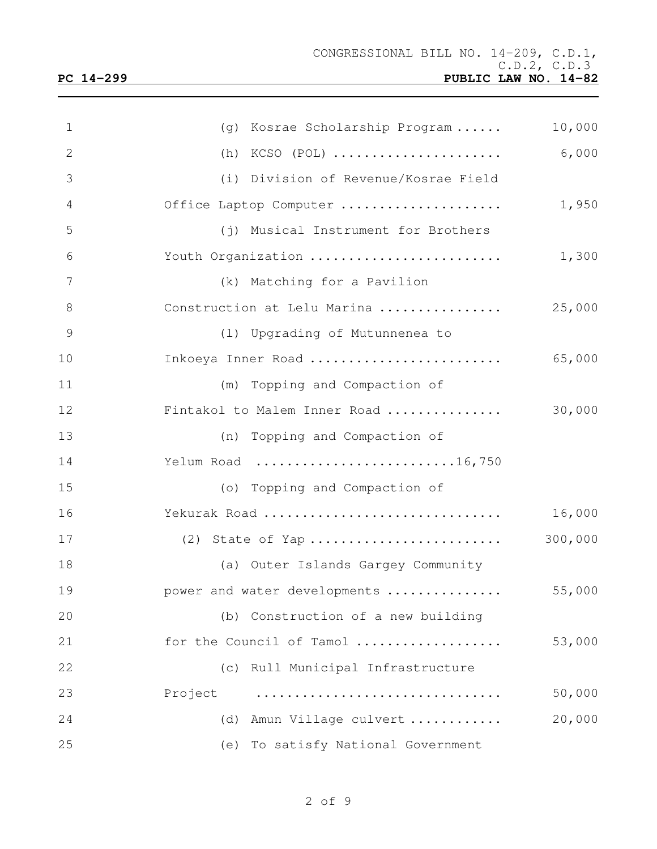| $\mathbf 1$   | (g) Kosrae Scholarship Program                                                     | 10,000  |
|---------------|------------------------------------------------------------------------------------|---------|
| 2             | (h) $KCSO$ (POL)                                                                   | 6,000   |
| 3             | (i) Division of Revenue/Kosrae Field                                               |         |
| 4             | Office Laptop Computer                                                             | 1,950   |
| 5             | (j) Musical Instrument for Brothers                                                |         |
| 6             | Youth Organization                                                                 | 1,300   |
| 7             | (k) Matching for a Pavilion                                                        |         |
| 8             | Construction at Lelu Marina                                                        | 25,000  |
| $\mathcal{G}$ | (1) Upgrading of Mutunnenea to                                                     |         |
| 10            | Inkoeya Inner Road                                                                 | 65,000  |
| 11            | (m) Topping and Compaction of                                                      |         |
| 12            | Fintakol to Malem Inner Road                                                       | 30,000  |
| 13            | (n) Topping and Compaction of                                                      |         |
| 14            | Yelum Road $\ldots \ldots \ldots \ldots \ldots \ldots \ldots \ldots \ldots 16,750$ |         |
| 15            | (o) Topping and Compaction of                                                      |         |
| 16            | Yekurak Road                                                                       | 16,000  |
| 17            | (2) State of Yap                                                                   | 300,000 |
| 18            | (a) Outer Islands Gargey Community                                                 |         |
| 19            | power and water developments                                                       | 55,000  |
| 20            | (b) Construction of a new building                                                 |         |
| 21            | for the Council of Tamol                                                           | 53,000  |
| 22            | (c) Rull Municipal Infrastructure                                                  |         |
| 23            | Project                                                                            | 50,000  |
| 24            | Amun Village culvert<br>(d)                                                        | 20,000  |
| 25            | (e) To satisfy National Government                                                 |         |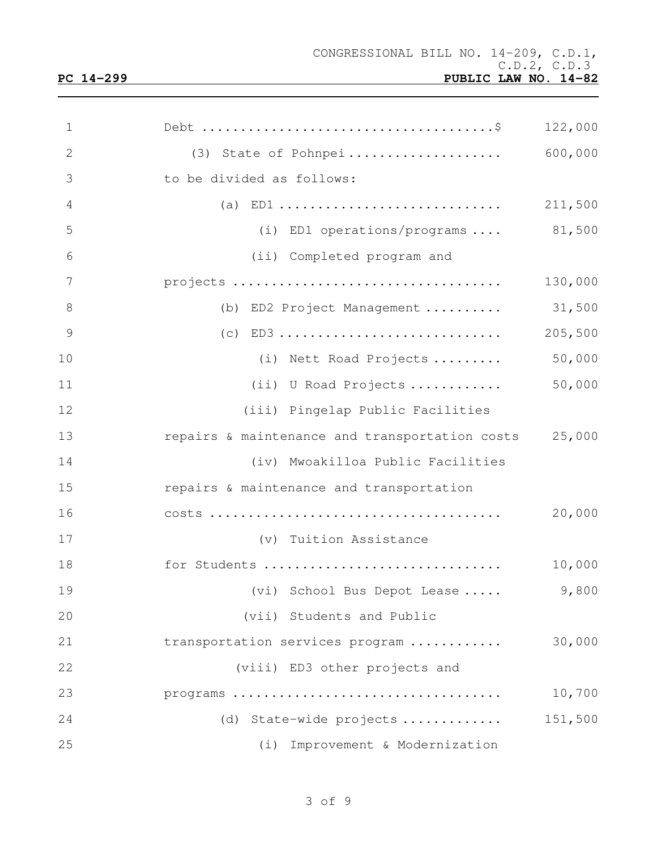| $\mathbf 1$   |                                                | 122,000 |
|---------------|------------------------------------------------|---------|
| $\mathbf{2}$  | (3) State of Pohnpei                           | 600,000 |
| 3             | to be divided as follows:                      |         |
| 4             | (a) $ED1$                                      | 211,500 |
| 5             | (i) ED1 operations/programs  81,500            |         |
| 6             | (ii) Completed program and                     |         |
| 7             |                                                | 130,000 |
| 8             | (b) ED2 Project Management                     | 31,500  |
| $\mathcal{G}$ | $(c)$ ED3                                      | 205,500 |
| 10            | (i) Nett Road Projects                         | 50,000  |
| 11            | (ii) U Road Projects                           | 50,000  |
| 12            | (iii) Pingelap Public Facilities               |         |
| 13            | repairs & maintenance and transportation costs | 25,000  |
| 14            | (iv) Mwoakilloa Public Facilities              |         |
| 15            | repairs & maintenance and transportation       |         |
| 16            |                                                | 20,000  |
| 17            | (v) Tuition Assistance                         |         |
| 18            | for Students                                   | 10,000  |
| 19            | (vi) School Bus Depot Lease                    | 9,800   |
| $20$          | (vii) Students and Public                      |         |
| 21            | transportation services program                | 30,000  |
| 22            | (viii) ED3 other projects and                  |         |
| 23            |                                                | 10,700  |
| 24            | State-wide projects<br>(d)                     | 151,500 |
| 25            | (i) Improvement & Modernization                |         |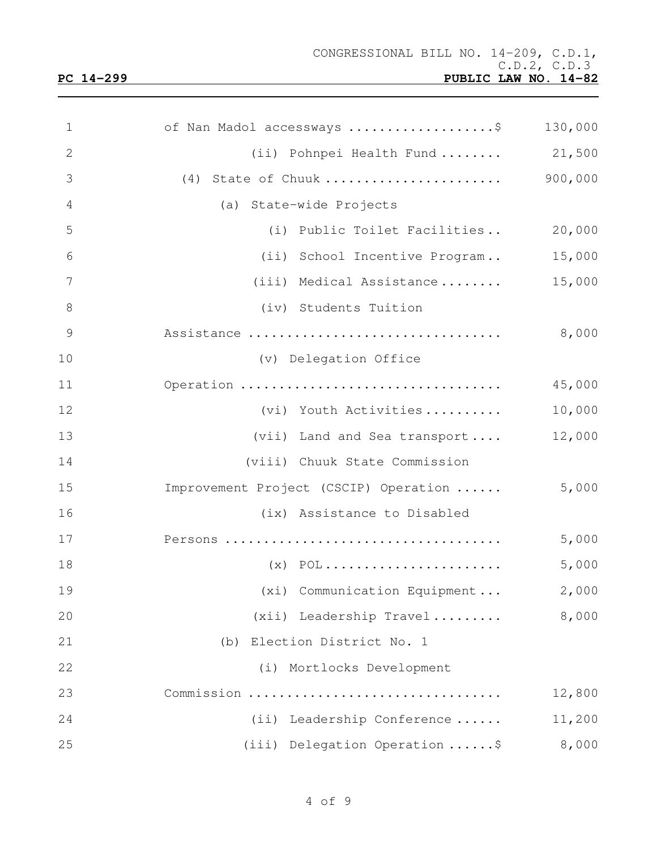| $\mathbf 1$     | of Nan Madol accessways \$            | 130,000 |
|-----------------|---------------------------------------|---------|
| 2               | (ii) Pohnpei Health Fund  21,500      |         |
| 3               | (4) State of Chuuk                    | 900,000 |
| 4               | (a) State-wide Projects               |         |
| 5               | (i) Public Toilet Facilities          | 20,000  |
| 6               | (ii) School Incentive Program         | 15,000  |
| $7\phantom{.0}$ | (iii) Medical Assistance              | 15,000  |
| $8\,$           | (iv) Students Tuition                 |         |
| $\mathcal{G}$   | Assistance                            | 8,000   |
| 10              | (v) Delegation Office                 |         |
| 11              | Operation                             | 45,000  |
| 12              | (vi) Youth Activities                 | 10,000  |
| 13              | (vii) Land and Sea transport          | 12,000  |
| 14              | (viii) Chuuk State Commission         |         |
| 15              | Improvement Project (CSCIP) Operation | 5,000   |
| 16              | (ix) Assistance to Disabled           |         |
| 17              |                                       | 5,000   |
| 18              | $(x)$ POL                             | 5,000   |
| 19              | (xi) Communication Equipment          | 2,000   |
| 20              | $(xii)$ Leadership Travel             | 8,000   |
| 21              | (b) Election District No. 1           |         |
| 22              | (i) Mortlocks Development             |         |
| 23              | Commission                            | 12,800  |
| 24              | (ii) Leadership Conference            | 11,200  |
| 25              | (iii) Delegation Operation \$         | 8,000   |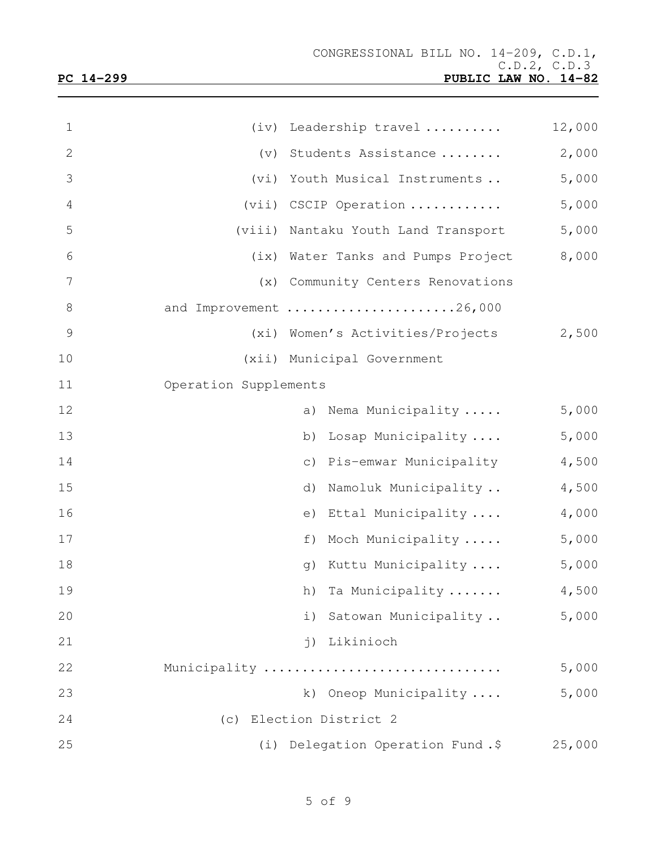| 1               |                       |             | (iv) Leadership travel              | 12,000 |
|-----------------|-----------------------|-------------|-------------------------------------|--------|
| 2               |                       |             | (v) Students Assistance             | 2,000  |
| 3               |                       |             | (vi) Youth Musical Instruments      | 5,000  |
| 4               |                       |             | (vii) CSCIP Operation               | 5,000  |
| 5               |                       |             | (viii) Nantaku Youth Land Transport | 5,000  |
| 6               |                       |             | (ix) Water Tanks and Pumps Project  | 8,000  |
| $7\phantom{.0}$ |                       |             | (x) Community Centers Renovations   |        |
| $8\,$           |                       |             | and Improvement 26,000              |        |
| $\mathcal{G}$   |                       |             | (xi) Women's Activities/Projects    | 2,500  |
| 10              |                       |             | (xii) Municipal Government          |        |
| 11              | Operation Supplements |             |                                     |        |
| 12              |                       | a)          | Nema Municipality                   | 5,000  |
| 13              |                       | b)          | Losap Municipality                  | 5,000  |
| 14              |                       | $\circ$ )   | Pis-emwar Municipality              | 4,500  |
| 15              |                       | d)          | Namoluk Municipality                | 4,500  |
| 16              |                       | e)          | Ettal Municipality                  | 4,000  |
| 17              |                       | f)          | Moch Municipality                   | 5,000  |
| 18              |                       | q)          | Kuttu Municipality                  | 5,000  |
| 19              |                       |             | h) Ta Municipality                  | 4,500  |
| 20              |                       | $\perp$ )   | Satowan Municipality                | 5,000  |
| 21              |                       | $\dot{1}$ ) | Likinioch                           |        |
| 22              |                       |             | Municipality                        | 5,000  |
| 23              |                       |             | k) Oneop Municipality               | 5,000  |
| 24              |                       |             | (c) Election District 2             |        |
| 25              |                       |             | (i) Delegation Operation Fund.\$    | 25,000 |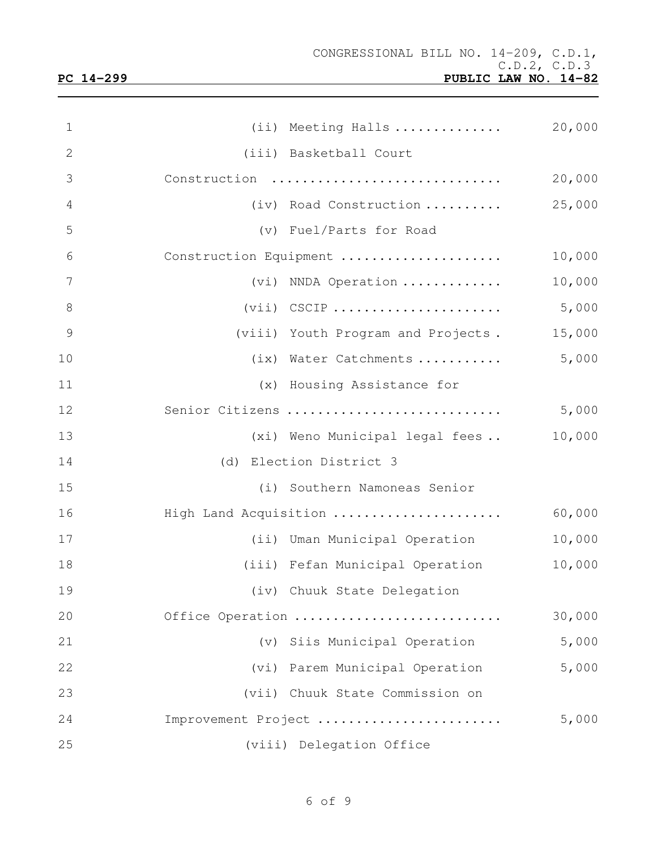| $\mathbf 1$    | (ii) Meeting Halls                 | 20,000 |
|----------------|------------------------------------|--------|
|                |                                    |        |
| $\mathbf{2}$   | (iii) Basketball Court             |        |
| 3              | Construction                       | 20,000 |
| $\overline{4}$ | (iv) Road Construction             | 25,000 |
| 5              | (v) Fuel/Parts for Road            |        |
| 6              | Construction Equipment             | 10,000 |
| 7              | (vi) NNDA Operation                | 10,000 |
| $8\,$          |                                    |        |
| $\mathcal{G}$  | (viii) Youth Program and Projects. | 15,000 |
| 10             | (ix) Water Catchments              | 5,000  |
| 11             | (x) Housing Assistance for         |        |
| 12             | Senior Citizens                    | 5,000  |
| 13             | (xi) Weno Municipal legal fees     | 10,000 |
| 14             | (d) Election District 3            |        |
| 15             | (i) Southern Namoneas Senior       |        |
| 16             | High Land Acquisition              | 60,000 |
| 17             | (ii) Uman Municipal Operation      | 10,000 |
| 18             | (iii) Fefan Municipal Operation    | 10,000 |
| 19             | (iv) Chuuk State Delegation        |        |
| 20             | Office Operation                   | 30,000 |
| 21             | (v) Siis Municipal Operation       | 5,000  |
| 22             | (vi) Parem Municipal Operation     | 5,000  |
| 23             | (vii) Chuuk State Commission on    |        |
| 24             | Improvement Project                | 5,000  |
| 25             | (viii) Delegation Office           |        |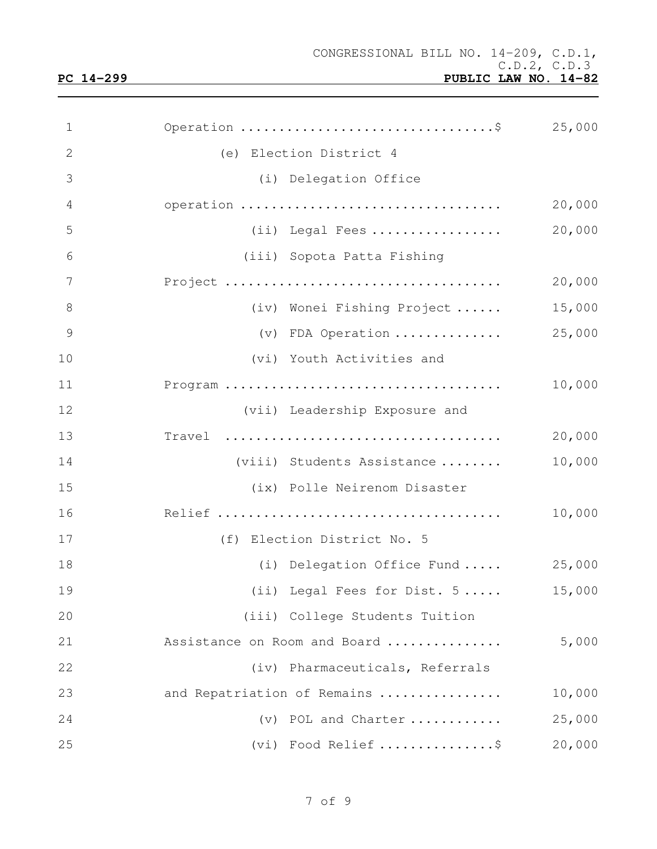| 1  |                                                                                  | 25,000 |
|----|----------------------------------------------------------------------------------|--------|
| 2  | (e) Election District 4                                                          |        |
| 3  | (i) Delegation Office                                                            |        |
| 4  | operation                                                                        | 20,000 |
| 5  | (ii) Legal Fees                                                                  | 20,000 |
| 6  | (iii) Sopota Patta Fishing                                                       |        |
| 7  |                                                                                  | 20,000 |
| 8  | (iv) Wonei Fishing Project                                                       | 15,000 |
| 9  | (v) FDA Operation                                                                | 25,000 |
| 10 | (vi) Youth Activities and                                                        |        |
| 11 |                                                                                  | 10,000 |
| 12 | (vii) Leadership Exposure and                                                    |        |
| 13 | $Travel \dots \dots \dots \dots \dots \dots \dots \dots \dots \dots \dots \dots$ | 20,000 |
| 14 | (viii) Students Assistance                                                       | 10,000 |
| 15 | (ix) Polle Neirenom Disaster                                                     |        |
| 16 |                                                                                  | 10,000 |
| 17 | (f) Election District No. 5                                                      |        |
| 18 | (i) Delegation Office Fund                                                       | 25,000 |
| 19 | (ii) Legal Fees for Dist. 5                                                      | 15,000 |
| 20 | (iii) College Students Tuition                                                   |        |
| 21 | Assistance on Room and Board                                                     | 5,000  |
| 22 | (iv) Pharmaceuticals, Referrals                                                  |        |
| 23 | and Repatriation of Remains                                                      | 10,000 |
| 24 | (v) POL and Charter                                                              | 25,000 |
| 25 | (vi) Food Relief \$                                                              | 20,000 |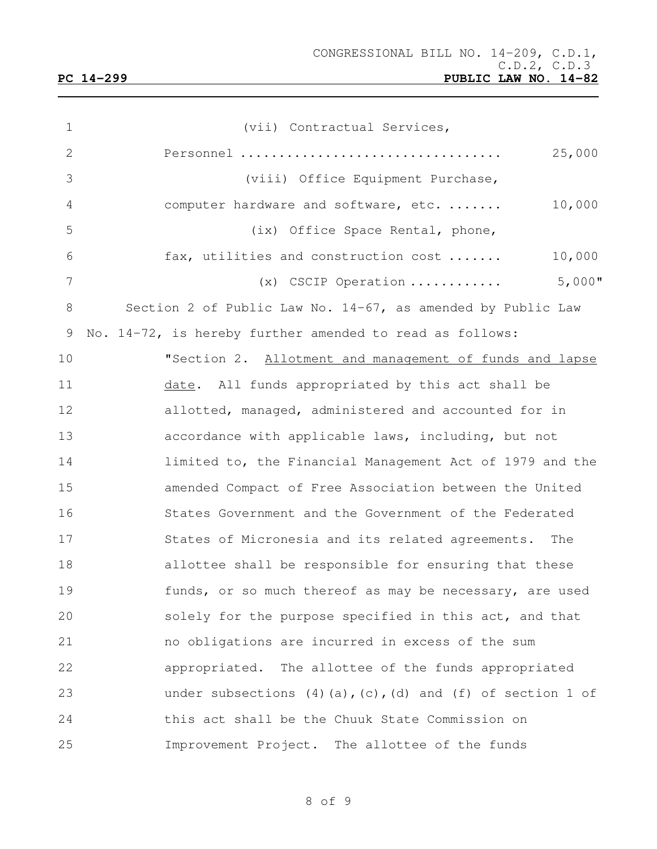| $\mathbf 1$     | (vii) Contractual Services,                                          |
|-----------------|----------------------------------------------------------------------|
| 2               | 25,000                                                               |
| 3               | (viii) Office Equipment Purchase,                                    |
| 4               | computer hardware and software, etc.<br>10,000                       |
| 5               | (ix) Office Space Rental, phone,                                     |
| 6               | fax, utilities and construction cost<br>10,000                       |
| $7\phantom{.0}$ | $5,000$ "<br>$(x)$ CSCIP Operation                                   |
| 8               | Section 2 of Public Law No. 14-67, as amended by Public Law          |
| 9               | No. 14-72, is hereby further amended to read as follows:             |
| 10              | "Section 2. Allotment and management of funds and lapse              |
| 11              | date. All funds appropriated by this act shall be                    |
| 12              | allotted, managed, administered and accounted for in                 |
| 13              | accordance with applicable laws, including, but not                  |
| 14              | limited to, the Financial Management Act of 1979 and the             |
| 15              | amended Compact of Free Association between the United               |
| 16              | States Government and the Government of the Federated                |
| 17              | States of Micronesia and its related agreements. The                 |
| 18              | allottee shall be responsible for ensuring that these                |
| 19              | funds, or so much thereof as may be necessary, are used              |
| 20              | solely for the purpose specified in this act, and that               |
| 21              | no obligations are incurred in excess of the sum                     |
| 22              | appropriated. The allottee of the funds appropriated                 |
| 23              | under subsections $(4)(a)$ , $(c)$ , $(d)$ and $(f)$ of section 1 of |
| 24              | this act shall be the Chuuk State Commission on                      |
| 25              | Improvement Project. The allottee of the funds                       |